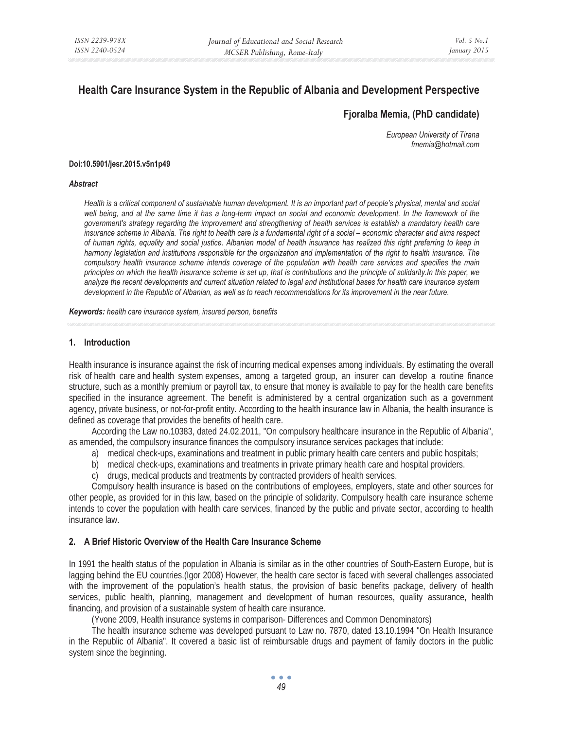# **Health Care Insurance System in the Republic of Albania and Development Perspective**

## **Fjoralba Memia, (PhD candidate)**

*European University of Tirana fmemia@hotmail.com* 

#### **Doi:10.5901/jesr.2015.v5n1p49**

#### *Abstract*

*Health is a critical component of sustainable human development. It is an important part of people's physical, mental and social*  well being, and at the same time it has a long-term impact on social and economic development. In the framework of the *government's strategy regarding the improvement and strengthening of health services is establish a mandatory health care insurance scheme in Albania. The right to health care is a fundamental right of a social – economic character and aims respect of human rights, equality and social justice. Albanian model of health insurance has realized this right preferring to keep in harmony legislation and institutions responsible for the organization and implementation of the right to health insurance. The*  compulsory health insurance scheme intends coverage of the population with health care services and specifies the main *principles on which the health insurance scheme is set up, that is contributions and the principle of solidarity.In this paper, we analyze the recent developments and current situation related to legal and institutional bases for health care insurance system* development in the Republic of Albanian, as well as to reach recommendations for its improvement in the near future.

*Keywords: health care insurance system, insured person, benefits* 

### **1. Introduction**

Health insurance is insurance against the risk of incurring medical expenses among individuals. By estimating the overall risk of health care and health system expenses, among a targeted group, an insurer can develop a routine finance structure, such as a monthly premium or payroll tax, to ensure that money is available to pay for the health care benefits specified in the insurance agreement. The benefit is administered by a central organization such as a government agency, private business, or not-for-profit entity. According to the health insurance law in Albania, the health insurance is defined as coverage that provides the benefits of health care.

According the Law no.10383, dated 24.02.2011, "On compulsory healthcare insurance in the Republic of Albania", as amended, the compulsory insurance finances the compulsory insurance services packages that include:

- a) medical check-ups, examinations and treatment in public primary health care centers and public hospitals;
- b) medical check-ups, examinations and treatments in private primary health care and hospital providers.
- c) drugs, medical products and treatments by contracted providers of health services.

Compulsory health insurance is based on the contributions of employees, employers, state and other sources for other people, as provided for in this law, based on the principle of solidarity. Compulsory health care insurance scheme intends to cover the population with health care services, financed by the public and private sector, according to health insurance law.

## **2. A Brief Historic Overview of the Health Care Insurance Scheme**

In 1991 the health status of the population in Albania is similar as in the other countries of South-Eastern Europe, but is lagging behind the EU countries.(Igor 2008) However, the health care sector is faced with several challenges associated with the improvement of the population's health status, the provision of basic benefits package, delivery of health services, public health, planning, management and development of human resources, quality assurance, health financing, and provision of a sustainable system of health care insurance.

(Yvone 2009, Health insurance systems in comparison- Differences and Common Denominators)

The health insurance scheme was developed pursuant to Law no. 7870, dated 13.10.1994 "On Health Insurance in the Republic of Albania". It covered a basic list of reimbursable drugs and payment of family doctors in the public system since the beginning.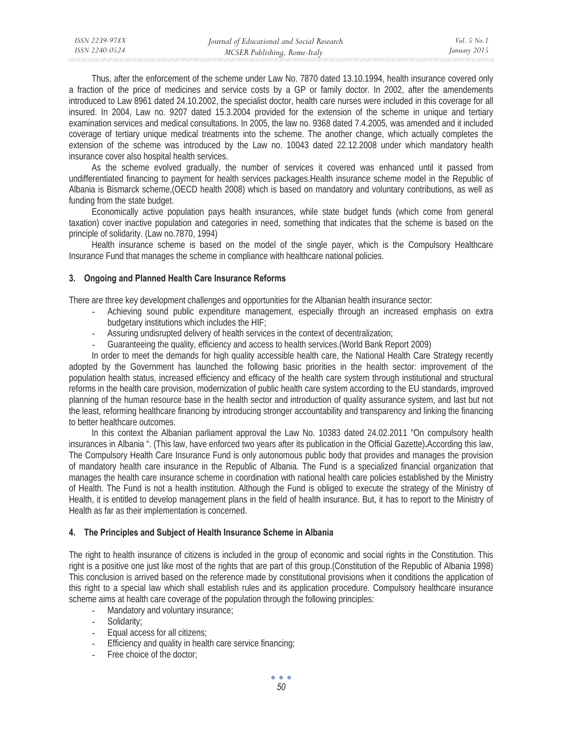| ISSN 2239-978X | Journal of Educational and Social Research | Vol. 5 No. 1 |
|----------------|--------------------------------------------|--------------|
| ISSN 2240-0524 | MCSER Publishing, Rome-Italy               | January 2015 |
|                |                                            |              |

Thus, after the enforcement of the scheme under Law No. 7870 dated 13.10.1994, health insurance covered only a fraction of the price of medicines and service costs by a GP or family doctor. In 2002, after the amendements introduced to Law 8961 dated 24.10.2002, the specialist doctor, health care nurses were included in this coverage for all insured. In 2004, Law no. 9207 dated 15.3.2004 provided for the extension of the scheme in unique and tertiary examination services and medical consultations. In 2005, the law no. 9368 dated 7.4.2005, was amended and it included coverage of tertiary unique medical treatments into the scheme. The another change, which actually completes the extension of the scheme was introduced by the Law no. 10043 dated 22.12.2008 under which mandatory health insurance cover also hospital health services.

As the scheme evolved gradually, the number of services it covered was enhanced until it passed from undifferentiated financing to payment for health services packages.Health insurance scheme model in the Republic of Albania is Bismarck scheme,(OECD health 2008) which is based on mandatory and voluntary contributions, as well as funding from the state budget.

Economically active population pays health insurances, while state budget funds (which come from general taxation) cover inactive population and categories in need, something that indicates that the scheme is based on the principle of solidarity. (Law no.7870, 1994)

Health insurance scheme is based on the model of the single payer, which is the Compulsory Healthcare Insurance Fund that manages the scheme in compliance with healthcare national policies.

## **3. Ongoing and Planned Health Care Insurance Reforms**

There are three key development challenges and opportunities for the Albanian health insurance sector:

- Achieving sound public expenditure management, especially through an increased emphasis on extra budgetary institutions which includes the HIF;
- Assuring undisrupted delivery of health services in the context of decentralization;
- Guaranteeing the quality, efficiency and access to health services.(World Bank Report 2009)

In order to meet the demands for high quality accessible health care, the National Health Care Strategy recently adopted by the Government has launched the following basic priorities in the health sector: improvement of the population health status, increased efficiency and efficacy of the health care system through institutional and structural reforms in the health care provision, modernization of public health care system according to the EU standards, improved planning of the human resource base in the health sector and introduction of quality assurance system, and last but not the least, reforming healthcare financing by introducing stronger accountability and transparency and linking the financing to better healthcare outcomes.

In this context the Albanian parliament approval the Law No. 10383 dated 24.02.2011 "On compulsory health insurances in Albania ". (This law, have enforced two years after its publication in the Official Gazette)**.**According this law, The Compulsory Health Care Insurance Fund is only autonomous public body that provides and manages the provision of mandatory health care insurance in the Republic of Albania. The Fund is a specialized financial organization that manages the health care insurance scheme in coordination with national health care policies established by the Ministry of Health. The Fund is not a health institution. Although the Fund is obliged to execute the strategy of the Ministry of Health, it is entitled to develop management plans in the field of health insurance. But, it has to report to the Ministry of Health as far as their implementation is concerned.

#### **4. The Principles and Subject of Health Insurance Scheme in Albania**

The right to health insurance of citizens is included in the group of economic and social rights in the Constitution. This right is a positive one just like most of the rights that are part of this group.(Constitution of the Republic of Albania 1998) This conclusion is arrived based on the reference made by constitutional provisions when it conditions the application of this right to a special law which shall establish rules and its application procedure. Compulsory healthcare insurance scheme aims at health care coverage of the population through the following principles:

- Mandatory and voluntary insurance;
- Solidarity;
- Equal access for all citizens;
- Efficiency and quality in health care service financing;
- Free choice of the doctor: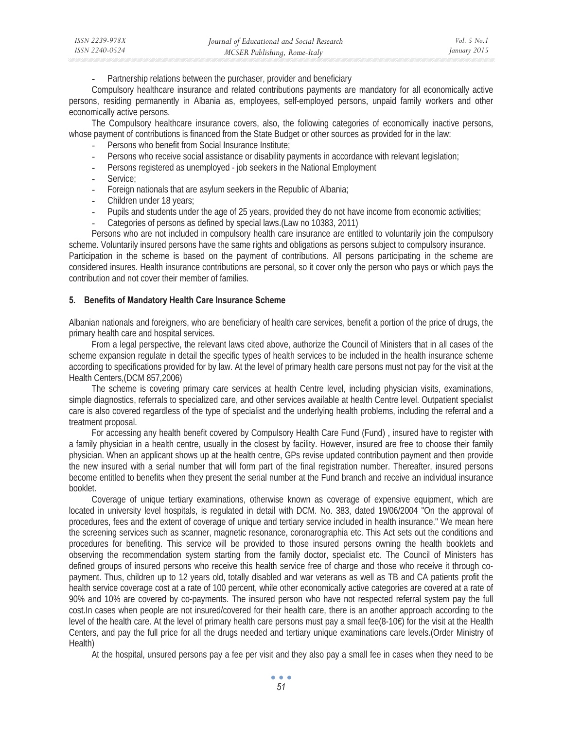Partnership relations between the purchaser, provider and beneficiary

Compulsory healthcare insurance and related contributions payments are mandatory for all economically active persons, residing permanently in Albania as, employees, self-employed persons, unpaid family workers and other economically active persons.

The Compulsory healthcare insurance covers, also, the following categories of economically inactive persons, whose payment of contributions is financed from the State Budget or other sources as provided for in the law:

- Persons who benefit from Social Insurance Institute;
- Persons who receive social assistance or disability payments in accordance with relevant legislation;
- Persons registered as unemployed job seekers in the National Employment
- Service:
- Foreign nationals that are asylum seekers in the Republic of Albania;
- Children under 18 years;
- Pupils and students under the age of 25 years, provided they do not have income from economic activities;
- Categories of persons as defined by special laws.(Law no 10383, 2011)

Persons who are not included in compulsory health care insurance are entitled to voluntarily join the compulsory scheme. Voluntarily insured persons have the same rights and obligations as persons subject to compulsory insurance. Participation in the scheme is based on the payment of contributions. All persons participating in the scheme are considered insures. Health insurance contributions are personal, so it cover only the person who pays or which pays the contribution and not cover their member of families.

#### **5. Benefits of Mandatory Health Care Insurance Scheme**

Albanian nationals and foreigners, who are beneficiary of health care services, benefit a portion of the price of drugs, the primary health care and hospital services.

From a legal perspective, the relevant laws cited above, authorize the Council of Ministers that in all cases of the scheme expansion regulate in detail the specific types of health services to be included in the health insurance scheme according to specifications provided for by law. At the level of primary health care persons must not pay for the visit at the Health Centers,(DCM 857,2006)

The scheme is covering primary care services at health Centre level, including physician visits, examinations, simple diagnostics, referrals to specialized care, and other services available at health Centre level. Outpatient specialist care is also covered regardless of the type of specialist and the underlying health problems, including the referral and a treatment proposal.

For accessing any health benefit covered by Compulsory Health Care Fund (Fund) , insured have to register with a family physician in a health centre, usually in the closest by facility. However, insured are free to choose their family physician. When an applicant shows up at the health centre, GPs revise updated contribution payment and then provide the new insured with a serial number that will form part of the final registration number. Thereafter, insured persons become entitled to benefits when they present the serial number at the Fund branch and receive an individual insurance booklet.

Coverage of unique tertiary examinations, otherwise known as coverage of expensive equipment, which are located in university level hospitals, is regulated in detail with DCM. No. 383, dated 19/06/2004 "On the approval of procedures, fees and the extent of coverage of unique and tertiary service included in health insurance." We mean here the screening services such as scanner, magnetic resonance, coronarographia etc. This Act sets out the conditions and procedures for benefiting. This service will be provided to those insured persons owning the health booklets and observing the recommendation system starting from the family doctor, specialist etc. The Council of Ministers has defined groups of insured persons who receive this health service free of charge and those who receive it through copayment. Thus, children up to 12 years old, totally disabled and war veterans as well as TB and CA patients profit the health service coverage cost at a rate of 100 percent, while other economically active categories are covered at a rate of 90% and 10% are covered by co-payments. The insured person who have not respected referral system pay the full cost.In cases when people are not insured/covered for their health care, there is an another approach according to the level of the health care. At the level of primary health care persons must pay a small fee(8-10€) for the visit at the Health Centers, and pay the full price for all the drugs needed and tertiary unique examinations care levels.(Order Ministry of Health)

At the hospital, unsured persons pay a fee per visit and they also pay a small fee in cases when they need to be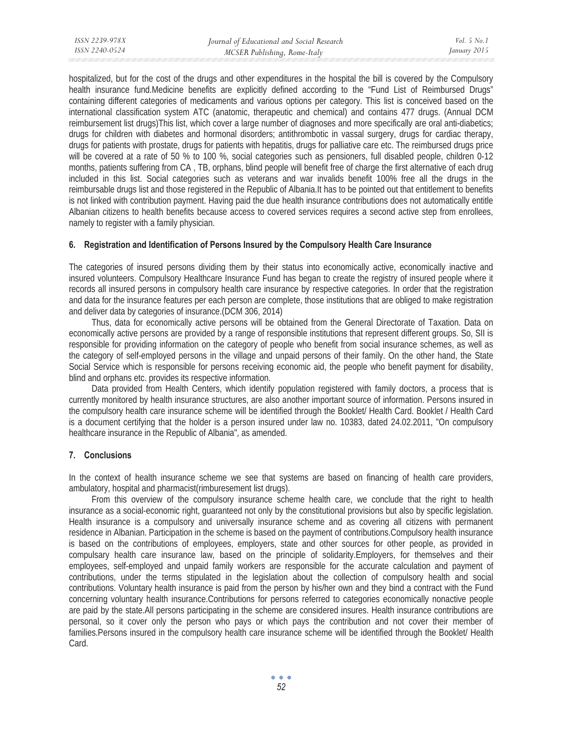hospitalized, but for the cost of the drugs and other expenditures in the hospital the bill is covered by the Compulsory health insurance fund.Medicine benefits are explicitly defined according to the "Fund List of Reimbursed Drugs" containing different categories of medicaments and various options per category. This list is conceived based on the international classification system ATC (anatomic, therapeutic and chemical) and contains 477 drugs. (Annual DCM reimbursement list drugs)This list, which cover a large number of diagnoses and more specifically are oral anti-diabetics; drugs for children with diabetes and hormonal disorders; antithrombotic in vassal surgery, drugs for cardiac therapy, drugs for patients with prostate, drugs for patients with hepatitis, drugs for palliative care etc. The reimbursed drugs price will be covered at a rate of 50 % to 100 %, social categories such as pensioners, full disabled people, children 0-12 months, patients suffering from CA , TB, orphans, blind people will benefit free of charge the first alternative of each drug included in this list. Social categories such as veterans and war invalids benefit 100% free all the drugs in the reimbursable drugs list and those registered in the Republic of Albania.It has to be pointed out that entitlement to benefits is not linked with contribution payment. Having paid the due health insurance contributions does not automatically entitle Albanian citizens to health benefits because access to covered services requires a second active step from enrollees, namely to register with a family physician.

### **6. Registration and Identification of Persons Insured by the Compulsory Health Care Insurance**

The categories of insured persons dividing them by their status into economically active, economically inactive and insured volunteers. Compulsory Healthcare Insurance Fund has began to create the registry of insured people where it records all insured persons in compulsory health care insurance by respective categories. In order that the registration and data for the insurance features per each person are complete, those institutions that are obliged to make registration and deliver data by categories of insurance.(DCM 306, 2014)

Thus, data for economically active persons will be obtained from the General Directorate of Taxation. Data on economically active persons are provided by a range of responsible institutions that represent different groups. So, SII is responsible for providing information on the category of people who benefit from social insurance schemes, as well as the category of self-employed persons in the village and unpaid persons of their family. On the other hand, the State Social Service which is responsible for persons receiving economic aid, the people who benefit payment for disability, blind and orphans etc. provides its respective information.

Data provided from Health Centers, which identify population registered with family doctors, a process that is currently monitored by health insurance structures, are also another important source of information. Persons insured in the compulsory health care insurance scheme will be identified through the Booklet/ Health Card. Booklet / Health Card is a document certifying that the holder is a person insured under law no. 10383, dated 24.02.2011, "On compulsory healthcare insurance in the Republic of Albania", as amended.

## **7. Conclusions**

In the context of health insurance scheme we see that systems are based on financing of health care providers, ambulatory, hospital and pharmacist(rimburesement list drugs).

From this overview of the compulsory insurance scheme health care, we conclude that the right to health insurance as a social-economic right, guaranteed not only by the constitutional provisions but also by specific legislation. Health insurance is a compulsory and universally insurance scheme and as covering all citizens with permanent residence in Albanian. Participation in the scheme is based on the payment of contributions.Compulsory health insurance is based on the contributions of employees, employers, state and other sources for other people, as provided in compulsary health care insurance law, based on the principle of solidarity.Employers, for themselves and their employees, self-employed and unpaid family workers are responsible for the accurate calculation and payment of contributions, under the terms stipulated in the legislation about the collection of compulsory health and social contributions. Voluntary health insurance is paid from the person by his/her own and they bind a contract with the Fund concerning voluntary health insurance.Contributions for persons referred to categories economically nonactive people are paid by the state.All persons participating in the scheme are considered insures. Health insurance contributions are personal, so it cover only the person who pays or which pays the contribution and not cover their member of families.Persons insured in the compulsory health care insurance scheme will be identified through the Booklet/ Health Card.